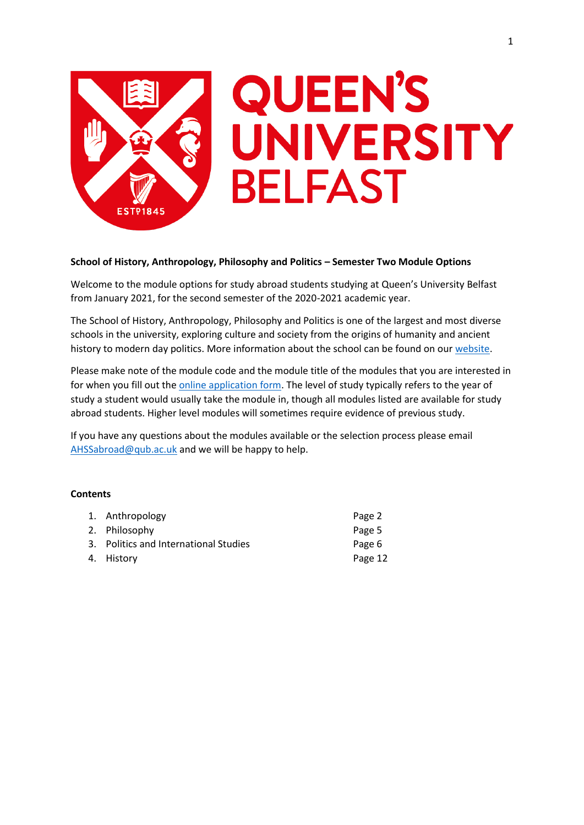

# **School of History, Anthropology, Philosophy and Politics – Semester Two Module Options**

Welcome to the module options for study abroad students studying at Queen's University Belfast from January 2021, for the second semester of the 2020-2021 academic year.

The School of History, Anthropology, Philosophy and Politics is one of the largest and most diverse schools in the university, exploring culture and society from the origins of humanity and ancient history to modern day politics. More information about the school can be found on our [website.](https://www.qub.ac.uk/schools/happ/)

Please make note of the module code and the module title of the modules that you are interested in for when you fill out th[e online application form.](https://forms.office.com/Pages/ResponsePage.aspx?id=6ner6qW040mh6NbdI6HyhuNo6y7MZmlFqRFBsQuklldUMk9NNlVPQUxQSFpJQ0I4VzFVNVhFMzNQRyQlQCN0PWcu) The level of study typically refers to the year of study a student would usually take the module in, though all modules listed are available for study abroad students. Higher level modules will sometimes require evidence of previous study.

If you have any questions about the modules available or the selection process please email [AHSSabroad@qub.ac.uk](mailto:AHSSabroad@qub.ac.uk) and we will be happy to help.

## **Contents**

| 1. Anthropology                       | Page 2  |
|---------------------------------------|---------|
| 2. Philosophy                         | Page 5  |
| 3. Politics and International Studies | Page 6  |
| 4. History                            | Page 12 |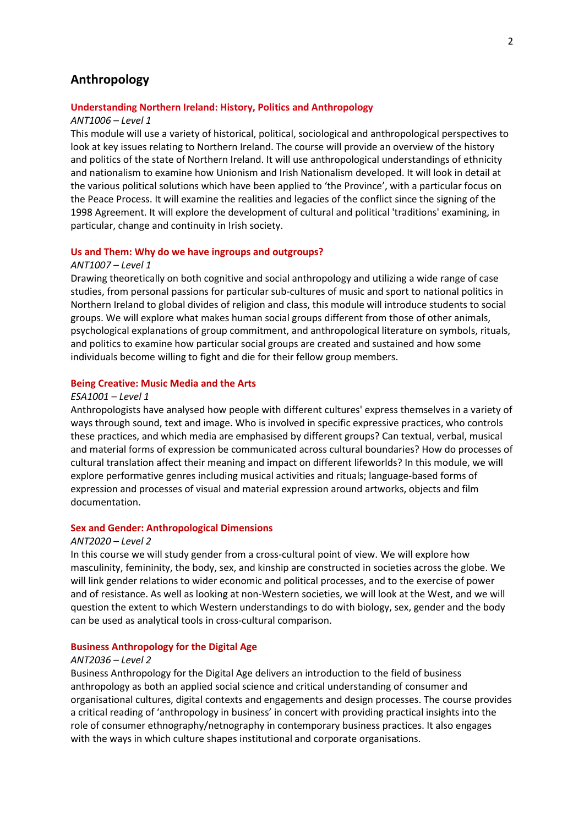## **Anthropology**

## **Understanding Northern Ireland: History, Politics and Anthropology**

#### *ANT1006 – Level 1*

This module will use a variety of historical, political, sociological and anthropological perspectives to look at key issues relating to Northern Ireland. The course will provide an overview of the history and politics of the state of Northern Ireland. It will use anthropological understandings of ethnicity and nationalism to examine how Unionism and Irish Nationalism developed. It will look in detail at the various political solutions which have been applied to 'the Province', with a particular focus on the Peace Process. It will examine the realities and legacies of the conflict since the signing of the 1998 Agreement. It will explore the development of cultural and political 'traditions' examining, in particular, change and continuity in Irish society.

## **Us and Them: Why do we have ingroups and outgroups?**

#### *ANT1007 – Level 1*

Drawing theoretically on both cognitive and social anthropology and utilizing a wide range of case studies, from personal passions for particular sub-cultures of music and sport to national politics in Northern Ireland to global divides of religion and class, this module will introduce students to social groups. We will explore what makes human social groups different from those of other animals, psychological explanations of group commitment, and anthropological literature on symbols, rituals, and politics to examine how particular social groups are created and sustained and how some individuals become willing to fight and die for their fellow group members.

## **Being Creative: Music Media and the Arts**

## *ESA1001 – Level 1*

Anthropologists have analysed how people with different cultures' express themselves in a variety of ways through sound, text and image. Who is involved in specific expressive practices, who controls these practices, and which media are emphasised by different groups? Can textual, verbal, musical and material forms of expression be communicated across cultural boundaries? How do processes of cultural translation affect their meaning and impact on different lifeworlds? In this module, we will explore performative genres including musical activities and rituals; language-based forms of expression and processes of visual and material expression around artworks, objects and film documentation.

#### **Sex and Gender: Anthropological Dimensions**

#### *ANT2020 – Level 2*

In this course we will study gender from a cross-cultural point of view. We will explore how masculinity, femininity, the body, sex, and kinship are constructed in societies across the globe. We will link gender relations to wider economic and political processes, and to the exercise of power and of resistance. As well as looking at non-Western societies, we will look at the West, and we will question the extent to which Western understandings to do with biology, sex, gender and the body can be used as analytical tools in cross-cultural comparison.

#### **Business Anthropology for the Digital Age**

#### *ANT2036 – Level 2*

Business Anthropology for the Digital Age delivers an introduction to the field of business anthropology as both an applied social science and critical understanding of consumer and organisational cultures, digital contexts and engagements and design processes. The course provides a critical reading of 'anthropology in business' in concert with providing practical insights into the role of consumer ethnography/netnography in contemporary business practices. It also engages with the ways in which culture shapes institutional and corporate organisations.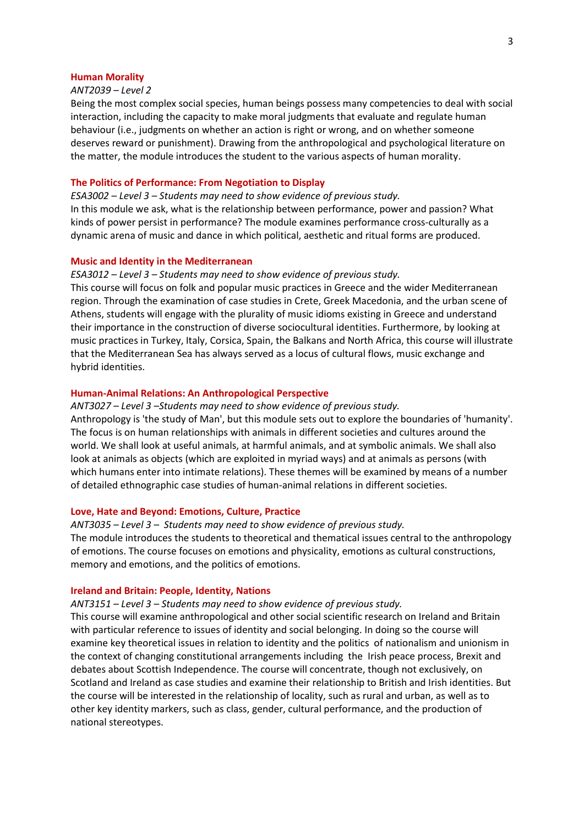#### **Human Morality**

## *ANT2039 – Level 2*

Being the most complex social species, human beings possess many competencies to deal with social interaction, including the capacity to make moral judgments that evaluate and regulate human behaviour (i.e., judgments on whether an action is right or wrong, and on whether someone deserves reward or punishment). Drawing from the anthropological and psychological literature on the matter, the module introduces the student to the various aspects of human morality.

## **The Politics of Performance: From Negotiation to Display**

*ESA3002 – Level 3 – Students may need to show evidence of previous study.* In this module we ask, what is the relationship between performance, power and passion? What kinds of power persist in performance? The module examines performance cross-culturally as a dynamic arena of music and dance in which political, aesthetic and ritual forms are produced.

### **Music and Identity in the Mediterranean**

## *ESA3012 – Level 3 – Students may need to show evidence of previous study.*

This course will focus on folk and popular music practices in Greece and the wider Mediterranean region. Through the examination of case studies in Crete, Greek Macedonia, and the urban scene of Athens, students will engage with the plurality of music idioms existing in Greece and understand their importance in the construction of diverse sociocultural identities. Furthermore, by looking at music practices in Turkey, Italy, Corsica, Spain, the Balkans and North Africa, this course will illustrate that the Mediterranean Sea has always served as a locus of cultural flows, music exchange and hybrid identities.

## **Human-Animal Relations: An Anthropological Perspective**

#### *ANT3027 – Level 3 –Students may need to show evidence of previous study.*

Anthropology is 'the study of Man', but this module sets out to explore the boundaries of 'humanity'. The focus is on human relationships with animals in different societies and cultures around the world. We shall look at useful animals, at harmful animals, and at symbolic animals. We shall also look at animals as objects (which are exploited in myriad ways) and at animals as persons (with which humans enter into intimate relations). These themes will be examined by means of a number of detailed ethnographic case studies of human-animal relations in different societies.

## **Love, Hate and Beyond: Emotions, Culture, Practice**

#### *ANT3035 – Level 3 – Students may need to show evidence of previous study.*

The module introduces the students to theoretical and thematical issues central to the anthropology of emotions. The course focuses on emotions and physicality, emotions as cultural constructions, memory and emotions, and the politics of emotions.

#### **Ireland and Britain: People, Identity, Nations**

## *ANT3151 – Level 3 – Students may need to show evidence of previous study.*

This course will examine anthropological and other social scientific research on Ireland and Britain with particular reference to issues of identity and social belonging. In doing so the course will examine key theoretical issues in relation to identity and the politics of nationalism and unionism in the context of changing constitutional arrangements including the Irish peace process, Brexit and debates about Scottish Independence. The course will concentrate, though not exclusively, on Scotland and Ireland as case studies and examine their relationship to British and Irish identities. But the course will be interested in the relationship of locality, such as rural and urban, as well as to other key identity markers, such as class, gender, cultural performance, and the production of national stereotypes.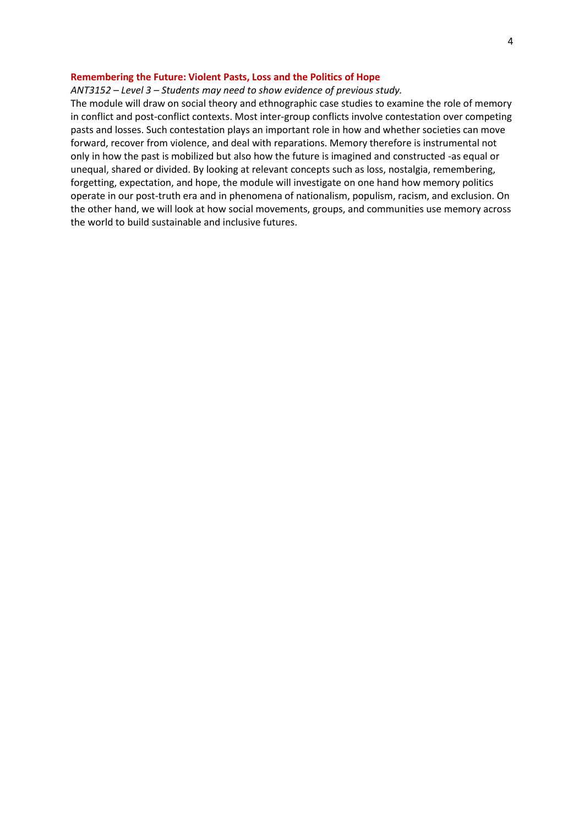## **Remembering the Future: Violent Pasts, Loss and the Politics of Hope**

## *ANT3152 – Level 3 – Students may need to show evidence of previous study.*

The module will draw on social theory and ethnographic case studies to examine the role of memory in conflict and post-conflict contexts. Most inter-group conflicts involve contestation over competing pasts and losses. Such contestation plays an important role in how and whether societies can move forward, recover from violence, and deal with reparations. Memory therefore is instrumental not only in how the past is mobilized but also how the future is imagined and constructed -as equal or unequal, shared or divided. By looking at relevant concepts such as loss, nostalgia, remembering, forgetting, expectation, and hope, the module will investigate on one hand how memory politics operate in our post-truth era and in phenomena of nationalism, populism, racism, and exclusion. On the other hand, we will look at how social movements, groups, and communities use memory across the world to build sustainable and inclusive futures.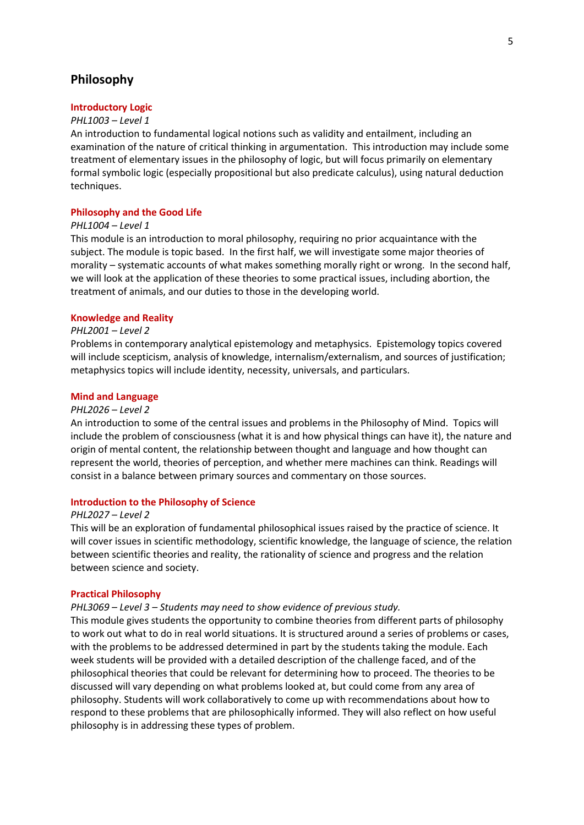# **Philosophy**

## **Introductory Logic**

#### *PHL1003 – Level 1*

An introduction to fundamental logical notions such as validity and entailment, including an examination of the nature of critical thinking in argumentation. This introduction may include some treatment of elementary issues in the philosophy of logic, but will focus primarily on elementary formal symbolic logic (especially propositional but also predicate calculus), using natural deduction techniques.

## **Philosophy and the Good Life**

#### *PHL1004 – Level 1*

This module is an introduction to moral philosophy, requiring no prior acquaintance with the subject. The module is topic based. In the first half, we will investigate some major theories of morality – systematic accounts of what makes something morally right or wrong. In the second half, we will look at the application of these theories to some practical issues, including abortion, the treatment of animals, and our duties to those in the developing world.

## **Knowledge and Reality**

#### *PHL2001 – Level 2*

Problems in contemporary analytical epistemology and metaphysics. Epistemology topics covered will include scepticism, analysis of knowledge, internalism/externalism, and sources of justification; metaphysics topics will include identity, necessity, universals, and particulars.

#### **Mind and Language**

#### *PHL2026 – Level 2*

An introduction to some of the central issues and problems in the Philosophy of Mind. Topics will include the problem of consciousness (what it is and how physical things can have it), the nature and origin of mental content, the relationship between thought and language and how thought can represent the world, theories of perception, and whether mere machines can think. Readings will consist in a balance between primary sources and commentary on those sources.

#### **Introduction to the Philosophy of Science**

#### *PHL2027 – Level 2*

This will be an exploration of fundamental philosophical issues raised by the practice of science. It will cover issues in scientific methodology, scientific knowledge, the language of science, the relation between scientific theories and reality, the rationality of science and progress and the relation between science and society.

## **Practical Philosophy**

#### *PHL3069 – Level 3 – Students may need to show evidence of previous study.*

This module gives students the opportunity to combine theories from different parts of philosophy to work out what to do in real world situations. It is structured around a series of problems or cases, with the problems to be addressed determined in part by the students taking the module. Each week students will be provided with a detailed description of the challenge faced, and of the philosophical theories that could be relevant for determining how to proceed. The theories to be discussed will vary depending on what problems looked at, but could come from any area of philosophy. Students will work collaboratively to come up with recommendations about how to respond to these problems that are philosophically informed. They will also reflect on how useful philosophy is in addressing these types of problem.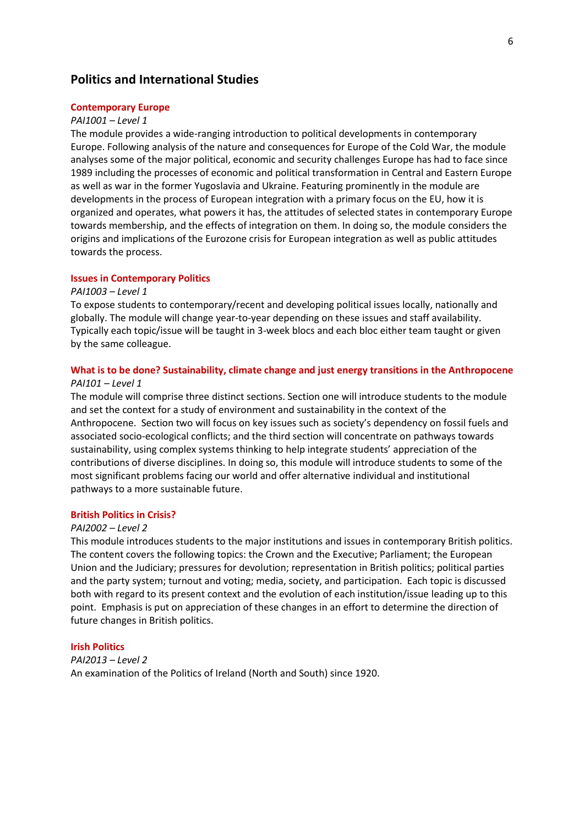# **Politics and International Studies**

#### **Contemporary Europe**

#### *PAI1001 – Level 1*

The module provides a wide-ranging introduction to political developments in contemporary Europe. Following analysis of the nature and consequences for Europe of the Cold War, the module analyses some of the major political, economic and security challenges Europe has had to face since 1989 including the processes of economic and political transformation in Central and Eastern Europe as well as war in the former Yugoslavia and Ukraine. Featuring prominently in the module are developments in the process of European integration with a primary focus on the EU, how it is organized and operates, what powers it has, the attitudes of selected states in contemporary Europe towards membership, and the effects of integration on them. In doing so, the module considers the origins and implications of the Eurozone crisis for European integration as well as public attitudes towards the process.

## **Issues in Contemporary Politics**

#### *PAI1003 – Level 1*

To expose students to contemporary/recent and developing political issues locally, nationally and globally. The module will change year-to-year depending on these issues and staff availability. Typically each topic/issue will be taught in 3-week blocs and each bloc either team taught or given by the same colleague.

# **What is to be done? Sustainability, climate change and just energy transitions in the Anthropocene**

## *PAI101 – Level 1*

The module will comprise three distinct sections. Section one will introduce students to the module and set the context for a study of environment and sustainability in the context of the Anthropocene. Section two will focus on key issues such as society's dependency on fossil fuels and associated socio-ecological conflicts; and the third section will concentrate on pathways towards sustainability, using complex systems thinking to help integrate students' appreciation of the contributions of diverse disciplines. In doing so, this module will introduce students to some of the most significant problems facing our world and offer alternative individual and institutional pathways to a more sustainable future.

## **British Politics in Crisis?**

#### *PAI2002 – Level 2*

This module introduces students to the major institutions and issues in contemporary British politics. The content covers the following topics: the Crown and the Executive; Parliament; the European Union and the Judiciary; pressures for devolution; representation in British politics; political parties and the party system; turnout and voting; media, society, and participation. Each topic is discussed both with regard to its present context and the evolution of each institution/issue leading up to this point. Emphasis is put on appreciation of these changes in an effort to determine the direction of future changes in British politics.

#### **Irish Politics**

*PAI2013 – Level 2* An examination of the Politics of Ireland (North and South) since 1920.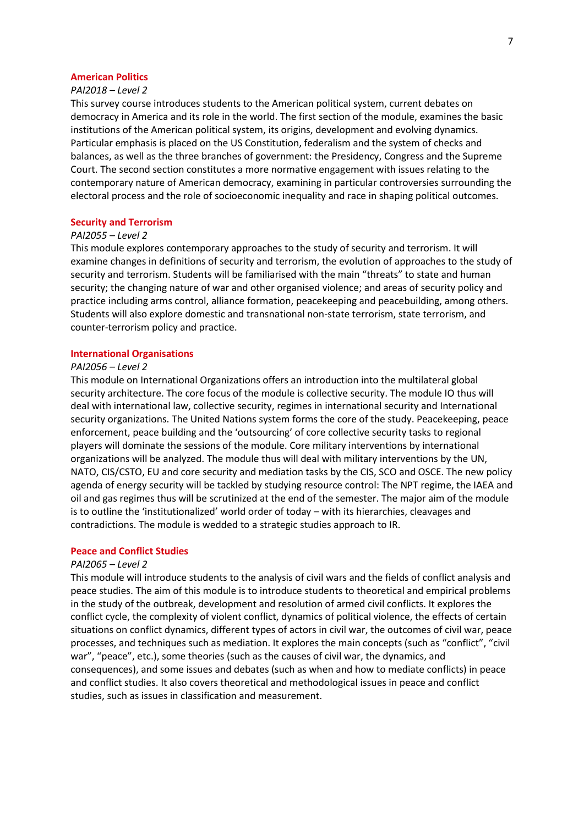## **American Politics**

## *PAI2018 – Level 2*

This survey course introduces students to the American political system, current debates on democracy in America and its role in the world. The first section of the module, examines the basic institutions of the American political system, its origins, development and evolving dynamics. Particular emphasis is placed on the US Constitution, federalism and the system of checks and balances, as well as the three branches of government: the Presidency, Congress and the Supreme Court. The second section constitutes a more normative engagement with issues relating to the contemporary nature of American democracy, examining in particular controversies surrounding the electoral process and the role of socioeconomic inequality and race in shaping political outcomes.

#### **Security and Terrorism**

## *PAI2055 – Level 2*

This module explores contemporary approaches to the study of security and terrorism. It will examine changes in definitions of security and terrorism, the evolution of approaches to the study of security and terrorism. Students will be familiarised with the main "threats" to state and human security; the changing nature of war and other organised violence; and areas of security policy and practice including arms control, alliance formation, peacekeeping and peacebuilding, among others. Students will also explore domestic and transnational non-state terrorism, state terrorism, and counter-terrorism policy and practice.

#### **International Organisations**

## *PAI2056 – Level 2*

This module on International Organizations offers an introduction into the multilateral global security architecture. The core focus of the module is collective security. The module IO thus will deal with international law, collective security, regimes in international security and International security organizations. The United Nations system forms the core of the study. Peacekeeping, peace enforcement, peace building and the 'outsourcing' of core collective security tasks to regional players will dominate the sessions of the module. Core military interventions by international organizations will be analyzed. The module thus will deal with military interventions by the UN, NATO, CIS/CSTO, EU and core security and mediation tasks by the CIS, SCO and OSCE. The new policy agenda of energy security will be tackled by studying resource control: The NPT regime, the IAEA and oil and gas regimes thus will be scrutinized at the end of the semester. The major aim of the module is to outline the 'institutionalized' world order of today – with its hierarchies, cleavages and contradictions. The module is wedded to a strategic studies approach to IR.

## **Peace and Conflict Studies**

## *PAI2065 – Level 2*

This module will introduce students to the analysis of civil wars and the fields of conflict analysis and peace studies. The aim of this module is to introduce students to theoretical and empirical problems in the study of the outbreak, development and resolution of armed civil conflicts. It explores the conflict cycle, the complexity of violent conflict, dynamics of political violence, the effects of certain situations on conflict dynamics, different types of actors in civil war, the outcomes of civil war, peace processes, and techniques such as mediation. It explores the main concepts (such as "conflict", "civil war", "peace", etc.), some theories (such as the causes of civil war, the dynamics, and consequences), and some issues and debates (such as when and how to mediate conflicts) in peace and conflict studies. It also covers theoretical and methodological issues in peace and conflict studies, such as issues in classification and measurement.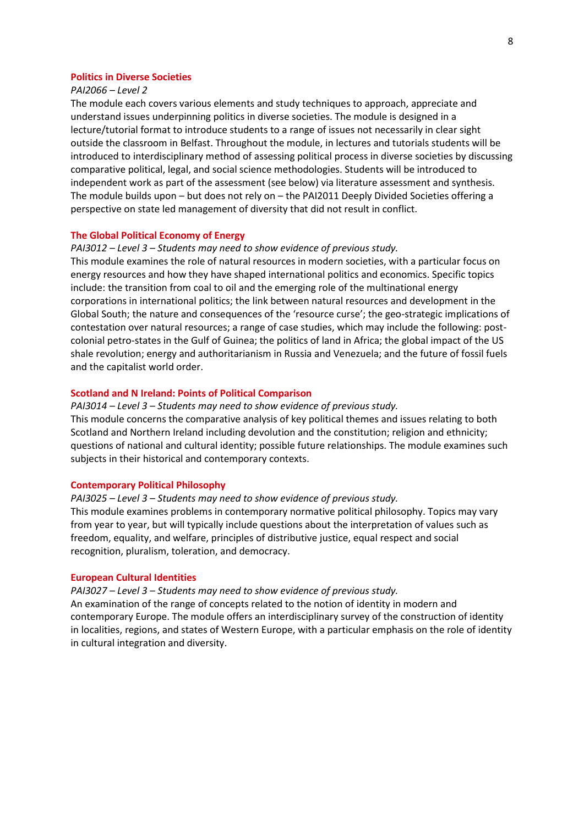## **Politics in Diverse Societies**

## *PAI2066 – Level 2*

The module each covers various elements and study techniques to approach, appreciate and understand issues underpinning politics in diverse societies. The module is designed in a lecture/tutorial format to introduce students to a range of issues not necessarily in clear sight outside the classroom in Belfast. Throughout the module, in lectures and tutorials students will be introduced to interdisciplinary method of assessing political process in diverse societies by discussing comparative political, legal, and social science methodologies. Students will be introduced to independent work as part of the assessment (see below) via literature assessment and synthesis. The module builds upon – but does not rely on – the PAI2011 Deeply Divided Societies offering a perspective on state led management of diversity that did not result in conflict.

#### **The Global Political Economy of Energy**

## *PAI3012 – Level 3 – Students may need to show evidence of previous study.*

This module examines the role of natural resources in modern societies, with a particular focus on energy resources and how they have shaped international politics and economics. Specific topics include: the transition from coal to oil and the emerging role of the multinational energy corporations in international politics; the link between natural resources and development in the Global South; the nature and consequences of the 'resource curse'; the geo-strategic implications of contestation over natural resources; a range of case studies, which may include the following: postcolonial petro-states in the Gulf of Guinea; the politics of land in Africa; the global impact of the US shale revolution; energy and authoritarianism in Russia and Venezuela; and the future of fossil fuels and the capitalist world order.

## **Scotland and N Ireland: Points of Political Comparison**

*PAI3014 – Level 3 – Students may need to show evidence of previous study.* This module concerns the comparative analysis of key political themes and issues relating to both Scotland and Northern Ireland including devolution and the constitution; religion and ethnicity; questions of national and cultural identity; possible future relationships. The module examines such subjects in their historical and contemporary contexts.

#### **Contemporary Political Philosophy**

*PAI3025 – Level 3 – Students may need to show evidence of previous study.* This module examines problems in contemporary normative political philosophy. Topics may vary from year to year, but will typically include questions about the interpretation of values such as freedom, equality, and welfare, principles of distributive justice, equal respect and social recognition, pluralism, toleration, and democracy.

#### **European Cultural Identities**

*PAI3027 – Level 3 – Students may need to show evidence of previous study.* An examination of the range of concepts related to the notion of identity in modern and contemporary Europe. The module offers an interdisciplinary survey of the construction of identity in localities, regions, and states of Western Europe, with a particular emphasis on the role of identity in cultural integration and diversity.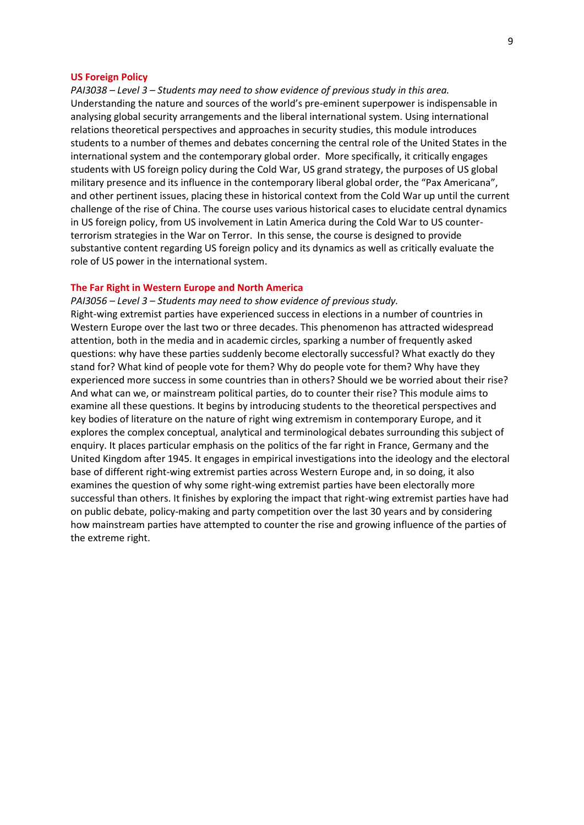## **US Foreign Policy**

*PAI3038 – Level 3 – Students may need to show evidence of previous study in this area.* Understanding the nature and sources of the world's pre-eminent superpower is indispensable in analysing global security arrangements and the liberal international system. Using international relations theoretical perspectives and approaches in security studies, this module introduces students to a number of themes and debates concerning the central role of the United States in the international system and the contemporary global order. More specifically, it critically engages students with US foreign policy during the Cold War, US grand strategy, the purposes of US global military presence and its influence in the contemporary liberal global order, the "Pax Americana", and other pertinent issues, placing these in historical context from the Cold War up until the current challenge of the rise of China. The course uses various historical cases to elucidate central dynamics in US foreign policy, from US involvement in Latin America during the Cold War to US counterterrorism strategies in the War on Terror. In this sense, the course is designed to provide substantive content regarding US foreign policy and its dynamics as well as critically evaluate the role of US power in the international system.

## **The Far Right in Western Europe and North America**

*PAI3056 – Level 3 – Students may need to show evidence of previous study.* Right-wing extremist parties have experienced success in elections in a number of countries in Western Europe over the last two or three decades. This phenomenon has attracted widespread attention, both in the media and in academic circles, sparking a number of frequently asked questions: why have these parties suddenly become electorally successful? What exactly do they stand for? What kind of people vote for them? Why do people vote for them? Why have they experienced more success in some countries than in others? Should we be worried about their rise? And what can we, or mainstream political parties, do to counter their rise? This module aims to examine all these questions. It begins by introducing students to the theoretical perspectives and key bodies of literature on the nature of right wing extremism in contemporary Europe, and it explores the complex conceptual, analytical and terminological debates surrounding this subject of enquiry. It places particular emphasis on the politics of the far right in France, Germany and the United Kingdom after 1945. It engages in empirical investigations into the ideology and the electoral base of different right-wing extremist parties across Western Europe and, in so doing, it also examines the question of why some right-wing extremist parties have been electorally more successful than others. It finishes by exploring the impact that right-wing extremist parties have had on public debate, policy-making and party competition over the last 30 years and by considering how mainstream parties have attempted to counter the rise and growing influence of the parties of the extreme right.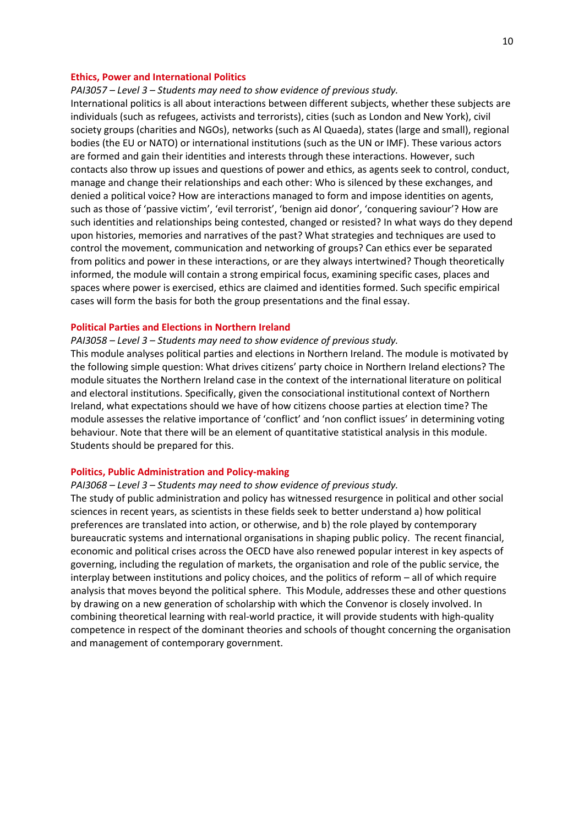## **Ethics, Power and International Politics**

*PAI3057 – Level 3 – Students may need to show evidence of previous study.*

International politics is all about interactions between different subjects, whether these subjects are individuals (such as refugees, activists and terrorists), cities (such as London and New York), civil society groups (charities and NGOs), networks (such as Al Quaeda), states (large and small), regional bodies (the EU or NATO) or international institutions (such as the UN or IMF). These various actors are formed and gain their identities and interests through these interactions. However, such contacts also throw up issues and questions of power and ethics, as agents seek to control, conduct, manage and change their relationships and each other: Who is silenced by these exchanges, and denied a political voice? How are interactions managed to form and impose identities on agents, such as those of 'passive victim', 'evil terrorist', 'benign aid donor', 'conquering saviour'? How are such identities and relationships being contested, changed or resisted? In what ways do they depend upon histories, memories and narratives of the past? What strategies and techniques are used to control the movement, communication and networking of groups? Can ethics ever be separated from politics and power in these interactions, or are they always intertwined? Though theoretically informed, the module will contain a strong empirical focus, examining specific cases, places and spaces where power is exercised, ethics are claimed and identities formed. Such specific empirical cases will form the basis for both the group presentations and the final essay.

## **Political Parties and Elections in Northern Ireland**

*PAI3058 – Level 3 – Students may need to show evidence of previous study.*

This module analyses political parties and elections in Northern Ireland. The module is motivated by the following simple question: What drives citizens' party choice in Northern Ireland elections? The module situates the Northern Ireland case in the context of the international literature on political and electoral institutions. Specifically, given the consociational institutional context of Northern Ireland, what expectations should we have of how citizens choose parties at election time? The module assesses the relative importance of 'conflict' and 'non conflict issues' in determining voting behaviour. Note that there will be an element of quantitative statistical analysis in this module. Students should be prepared for this.

#### **Politics, Public Administration and Policy-making**

## *PAI3068 – Level 3 – Students may need to show evidence of previous study.*

The study of public administration and policy has witnessed resurgence in political and other social sciences in recent years, as scientists in these fields seek to better understand a) how political preferences are translated into action, or otherwise, and b) the role played by contemporary bureaucratic systems and international organisations in shaping public policy. The recent financial, economic and political crises across the OECD have also renewed popular interest in key aspects of governing, including the regulation of markets, the organisation and role of the public service, the interplay between institutions and policy choices, and the politics of reform – all of which require analysis that moves beyond the political sphere. This Module, addresses these and other questions by drawing on a new generation of scholarship with which the Convenor is closely involved. In combining theoretical learning with real-world practice, it will provide students with high-quality competence in respect of the dominant theories and schools of thought concerning the organisation and management of contemporary government.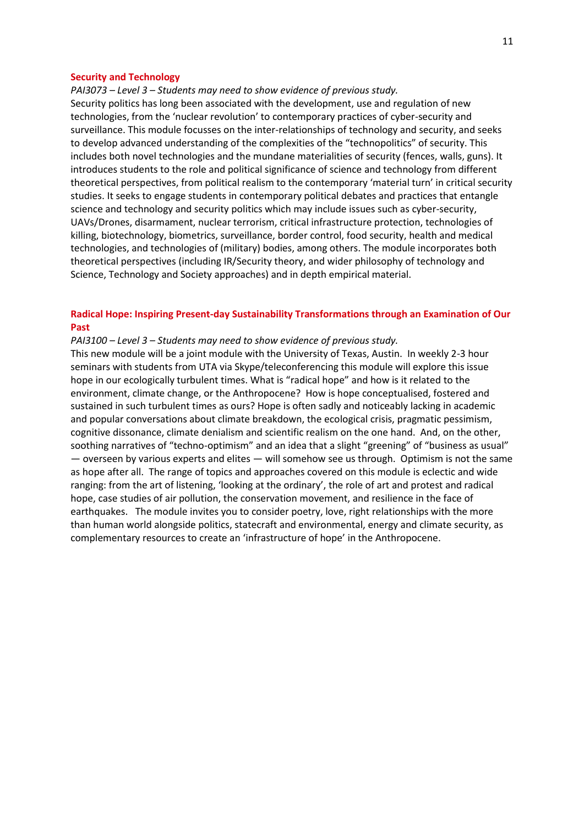#### **Security and Technology**

*PAI3073 – Level 3 – Students may need to show evidence of previous study.* Security politics has long been associated with the development, use and regulation of new technologies, from the 'nuclear revolution' to contemporary practices of cyber-security and surveillance. This module focusses on the inter-relationships of technology and security, and seeks to develop advanced understanding of the complexities of the "technopolitics" of security. This includes both novel technologies and the mundane materialities of security (fences, walls, guns). It introduces students to the role and political significance of science and technology from different theoretical perspectives, from political realism to the contemporary 'material turn' in critical security studies. It seeks to engage students in contemporary political debates and practices that entangle science and technology and security politics which may include issues such as cyber-security, UAVs/Drones, disarmament, nuclear terrorism, critical infrastructure protection, technologies of killing, biotechnology, biometrics, surveillance, border control, food security, health and medical technologies, and technologies of (military) bodies, among others. The module incorporates both theoretical perspectives (including IR/Security theory, and wider philosophy of technology and Science, Technology and Society approaches) and in depth empirical material.

## **Radical Hope: Inspiring Present-day Sustainability Transformations through an Examination of Our Past**

## *PAI3100 – Level 3 – Students may need to show evidence of previous study.*

This new module will be a joint module with the University of Texas, Austin. In weekly 2-3 hour seminars with students from UTA via Skype/teleconferencing this module will explore this issue hope in our ecologically turbulent times. What is "radical hope" and how is it related to the environment, climate change, or the Anthropocene? How is hope conceptualised, fostered and sustained in such turbulent times as ours? Hope is often sadly and noticeably lacking in academic and popular conversations about climate breakdown, the ecological crisis, pragmatic pessimism, cognitive dissonance, climate denialism and scientific realism on the one hand. And, on the other, soothing narratives of "techno-optimism" and an idea that a slight "greening" of "business as usual" — overseen by various experts and elites — will somehow see us through. Optimism is not the same as hope after all. The range of topics and approaches covered on this module is eclectic and wide ranging: from the art of listening, 'looking at the ordinary', the role of art and protest and radical hope, case studies of air pollution, the conservation movement, and resilience in the face of earthquakes. The module invites you to consider poetry, love, right relationships with the more than human world alongside politics, statecraft and environmental, energy and climate security, as complementary resources to create an 'infrastructure of hope' in the Anthropocene.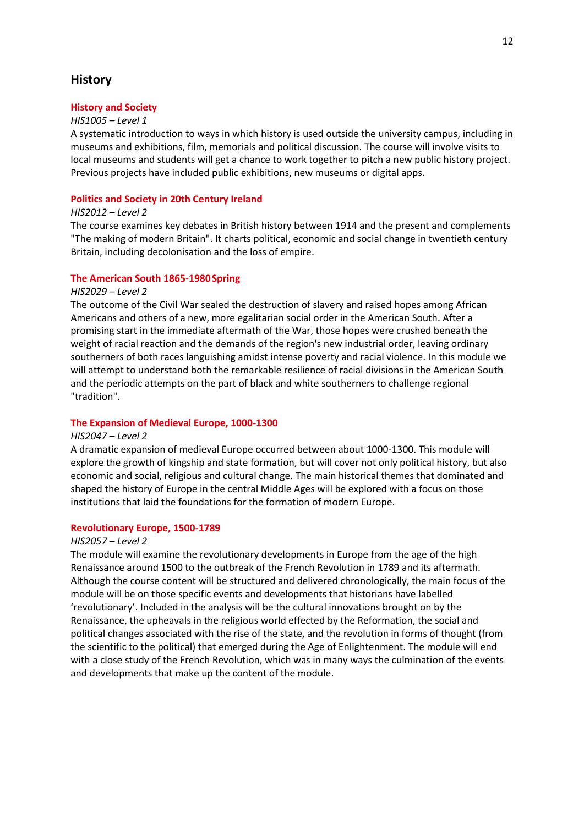# **History**

## **History and Society**

#### *HIS1005 – Level 1*

A systematic introduction to ways in which history is used outside the university campus, including in museums and exhibitions, film, memorials and political discussion. The course will involve visits to local museums and students will get a chance to work together to pitch a new public history project. Previous projects have included public exhibitions, new museums or digital apps.

## **Politics and Society in 20th Century Ireland**

## *HIS2012 – Level 2*

The course examines key debates in British history between 1914 and the present and complements "The making of modern Britain". It charts political, economic and social change in twentieth century Britain, including decolonisation and the loss of empire.

## **The American South 1865-1980Spring**

#### *HIS2029 – Level 2*

The outcome of the Civil War sealed the destruction of slavery and raised hopes among African Americans and others of a new, more egalitarian social order in the American South. After a promising start in the immediate aftermath of the War, those hopes were crushed beneath the weight of racial reaction and the demands of the region's new industrial order, leaving ordinary southerners of both races languishing amidst intense poverty and racial violence. In this module we will attempt to understand both the remarkable resilience of racial divisions in the American South and the periodic attempts on the part of black and white southerners to challenge regional "tradition".

## **The Expansion of Medieval Europe, 1000-1300**

#### *HIS2047 – Level 2*

A dramatic expansion of medieval Europe occurred between about 1000-1300. This module will explore the growth of kingship and state formation, but will cover not only political history, but also economic and social, religious and cultural change. The main historical themes that dominated and shaped the history of Europe in the central Middle Ages will be explored with a focus on those institutions that laid the foundations for the formation of modern Europe.

#### **Revolutionary Europe, 1500-1789**

#### *HIS2057 – Level 2*

The module will examine the revolutionary developments in Europe from the age of the high Renaissance around 1500 to the outbreak of the French Revolution in 1789 and its aftermath. Although the course content will be structured and delivered chronologically, the main focus of the module will be on those specific events and developments that historians have labelled 'revolutionary'. Included in the analysis will be the cultural innovations brought on by the Renaissance, the upheavals in the religious world effected by the Reformation, the social and political changes associated with the rise of the state, and the revolution in forms of thought (from the scientific to the political) that emerged during the Age of Enlightenment. The module will end with a close study of the French Revolution, which was in many ways the culmination of the events and developments that make up the content of the module.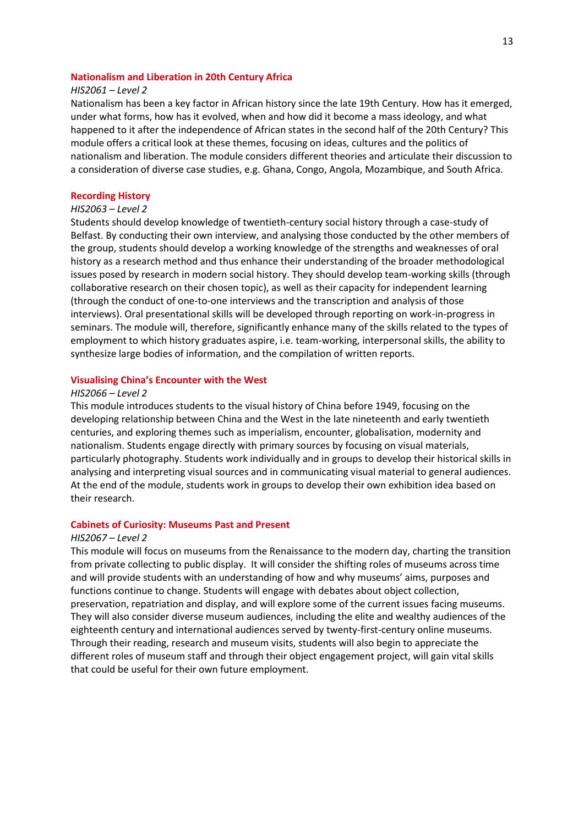## **Nationalism and Liberation in 20th Century Africa**

## *HIS2061 – Level 2*

Nationalism has been a key factor in African history since the late 19th Century. How has it emerged, under what forms, how has it evolved, when and how did it become a mass ideology, and what happened to it after the independence of African states in the second half of the 20th Century? This module offers a critical look at these themes, focusing on ideas, cultures and the politics of nationalism and liberation. The module considers different theories and articulate their discussion to a consideration of diverse case studies, e.g. Ghana, Congo, Angola, Mozambique, and South Africa.

#### **Recording History**

## *HIS2063 – Level 2*

Students should develop knowledge of twentieth-century social history through a case-study of Belfast. By conducting their own interview, and analysing those conducted by the other members of the group, students should develop a working knowledge of the strengths and weaknesses of oral history as a research method and thus enhance their understanding of the broader methodological issues posed by research in modern social history. They should develop team-working skills (through collaborative research on their chosen topic), as well as their capacity for independent learning (through the conduct of one-to-one interviews and the transcription and analysis of those interviews). Oral presentational skills will be developed through reporting on work-in-progress in seminars. The module will, therefore, significantly enhance many of the skills related to the types of employment to which history graduates aspire, i.e. team-working, interpersonal skills, the ability to synthesize large bodies of information, and the compilation of written reports.

## **Visualising China's Encounter with the West**

#### *HIS2066 – Level 2*

This module introduces students to the visual history of China before 1949, focusing on the developing relationship between China and the West in the late nineteenth and early twentieth centuries, and exploring themes such as imperialism, encounter, globalisation, modernity and nationalism. Students engage directly with primary sources by focusing on visual materials, particularly photography. Students work individually and in groups to develop their historical skills in analysing and interpreting visual sources and in communicating visual material to general audiences. At the end of the module, students work in groups to develop their own exhibition idea based on their research.

#### **Cabinets of Curiosity: Museums Past and Present**

#### *HIS2067 – Level 2*

This module will focus on museums from the Renaissance to the modern day, charting the transition from private collecting to public display. It will consider the shifting roles of museums across time and will provide students with an understanding of how and why museums' aims, purposes and functions continue to change. Students will engage with debates about object collection, preservation, repatriation and display, and will explore some of the current issues facing museums. They will also consider diverse museum audiences, including the elite and wealthy audiences of the eighteenth century and international audiences served by twenty-first-century online museums. Through their reading, research and museum visits, students will also begin to appreciate the different roles of museum staff and through their object engagement project, will gain vital skills that could be useful for their own future employment.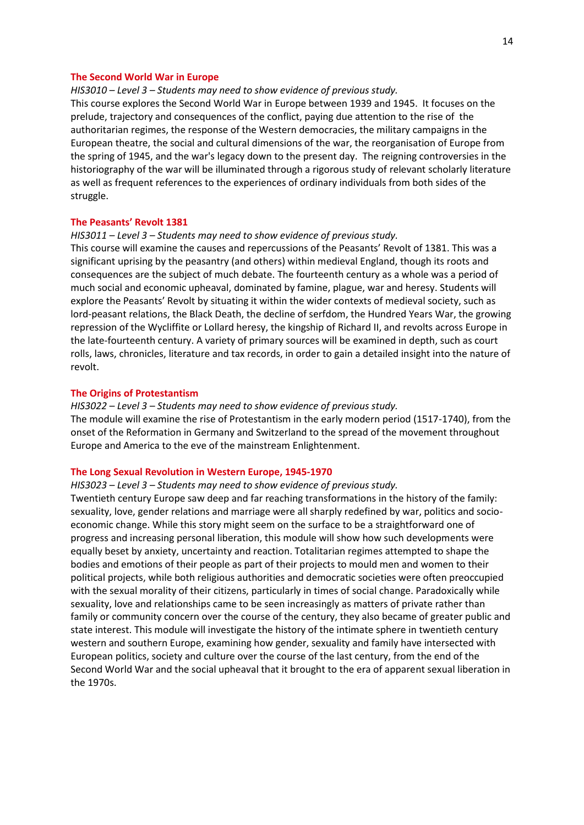#### **The Second World War in Europe**

#### *HIS3010 – Level 3 – Students may need to show evidence of previous study.*

This course explores the Second World War in Europe between 1939 and 1945. It focuses on the prelude, trajectory and consequences of the conflict, paying due attention to the rise of the authoritarian regimes, the response of the Western democracies, the military campaigns in the European theatre, the social and cultural dimensions of the war, the reorganisation of Europe from the spring of 1945, and the war's legacy down to the present day. The reigning controversies in the historiography of the war will be illuminated through a rigorous study of relevant scholarly literature as well as frequent references to the experiences of ordinary individuals from both sides of the struggle.

### **The Peasants' Revolt 1381**

## *HIS3011 – Level 3 – Students may need to show evidence of previous study.*

This course will examine the causes and repercussions of the Peasants' Revolt of 1381. This was a significant uprising by the peasantry (and others) within medieval England, though its roots and consequences are the subject of much debate. The fourteenth century as a whole was a period of much social and economic upheaval, dominated by famine, plague, war and heresy. Students will explore the Peasants' Revolt by situating it within the wider contexts of medieval society, such as lord-peasant relations, the Black Death, the decline of serfdom, the Hundred Years War, the growing repression of the Wycliffite or Lollard heresy, the kingship of Richard II, and revolts across Europe in the late-fourteenth century. A variety of primary sources will be examined in depth, such as court rolls, laws, chronicles, literature and tax records, in order to gain a detailed insight into the nature of revolt.

#### **The Origins of Protestantism**

# *HIS3022 – Level 3 – Students may need to show evidence of previous study.*

The module will examine the rise of Protestantism in the early modern period (1517-1740), from the onset of the Reformation in Germany and Switzerland to the spread of the movement throughout Europe and America to the eve of the mainstream Enlightenment.

#### **The Long Sexual Revolution in Western Europe, 1945-1970**

#### *HIS3023 – Level 3 – Students may need to show evidence of previous study.*

Twentieth century Europe saw deep and far reaching transformations in the history of the family: sexuality, love, gender relations and marriage were all sharply redefined by war, politics and socioeconomic change. While this story might seem on the surface to be a straightforward one of progress and increasing personal liberation, this module will show how such developments were equally beset by anxiety, uncertainty and reaction. Totalitarian regimes attempted to shape the bodies and emotions of their people as part of their projects to mould men and women to their political projects, while both religious authorities and democratic societies were often preoccupied with the sexual morality of their citizens, particularly in times of social change. Paradoxically while sexuality, love and relationships came to be seen increasingly as matters of private rather than family or community concern over the course of the century, they also became of greater public and state interest. This module will investigate the history of the intimate sphere in twentieth century western and southern Europe, examining how gender, sexuality and family have intersected with European politics, society and culture over the course of the last century, from the end of the Second World War and the social upheaval that it brought to the era of apparent sexual liberation in the 1970s.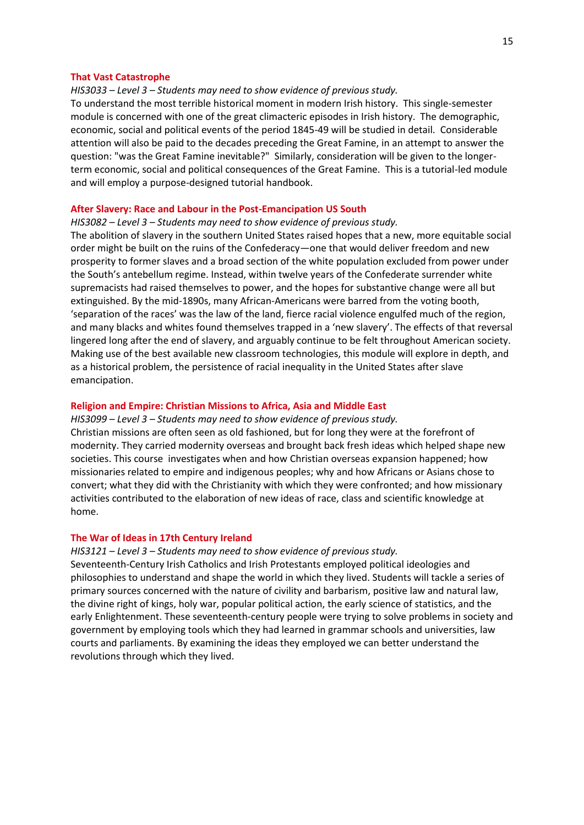#### **That Vast Catastrophe**

## *HIS3033 – Level 3 – Students may need to show evidence of previous study.*

To understand the most terrible historical moment in modern Irish history. This single-semester module is concerned with one of the great climacteric episodes in Irish history. The demographic, economic, social and political events of the period 1845-49 will be studied in detail. Considerable attention will also be paid to the decades preceding the Great Famine, in an attempt to answer the question: "was the Great Famine inevitable?" Similarly, consideration will be given to the longerterm economic, social and political consequences of the Great Famine. This is a tutorial-led module and will employ a purpose-designed tutorial handbook.

## **After Slavery: Race and Labour in the Post-Emancipation US South**

*HIS3082 – Level 3 – Students may need to show evidence of previous study.*

The abolition of slavery in the southern United States raised hopes that a new, more equitable social order might be built on the ruins of the Confederacy—one that would deliver freedom and new prosperity to former slaves and a broad section of the white population excluded from power under the South's antebellum regime. Instead, within twelve years of the Confederate surrender white supremacists had raised themselves to power, and the hopes for substantive change were all but extinguished. By the mid-1890s, many African-Americans were barred from the voting booth, 'separation of the races' was the law of the land, fierce racial violence engulfed much of the region, and many blacks and whites found themselves trapped in a 'new slavery'. The effects of that reversal lingered long after the end of slavery, and arguably continue to be felt throughout American society. Making use of the best available new classroom technologies, this module will explore in depth, and as a historical problem, the persistence of racial inequality in the United States after slave emancipation.

#### **Religion and Empire: Christian Missions to Africa, Asia and Middle East**

#### *HIS3099 – Level 3 – Students may need to show evidence of previous study.*

Christian missions are often seen as old fashioned, but for long they were at the forefront of modernity. They carried modernity overseas and brought back fresh ideas which helped shape new societies. This course investigates when and how Christian overseas expansion happened; how missionaries related to empire and indigenous peoples; why and how Africans or Asians chose to convert; what they did with the Christianity with which they were confronted; and how missionary activities contributed to the elaboration of new ideas of race, class and scientific knowledge at home.

#### **The War of Ideas in 17th Century Ireland**

## *HIS3121 – Level 3 – Students may need to show evidence of previous study.*

Seventeenth-Century Irish Catholics and Irish Protestants employed political ideologies and philosophies to understand and shape the world in which they lived. Students will tackle a series of primary sources concerned with the nature of civility and barbarism, positive law and natural law, the divine right of kings, holy war, popular political action, the early science of statistics, and the early Enlightenment. These seventeenth-century people were trying to solve problems in society and government by employing tools which they had learned in grammar schools and universities, law courts and parliaments. By examining the ideas they employed we can better understand the revolutions through which they lived.